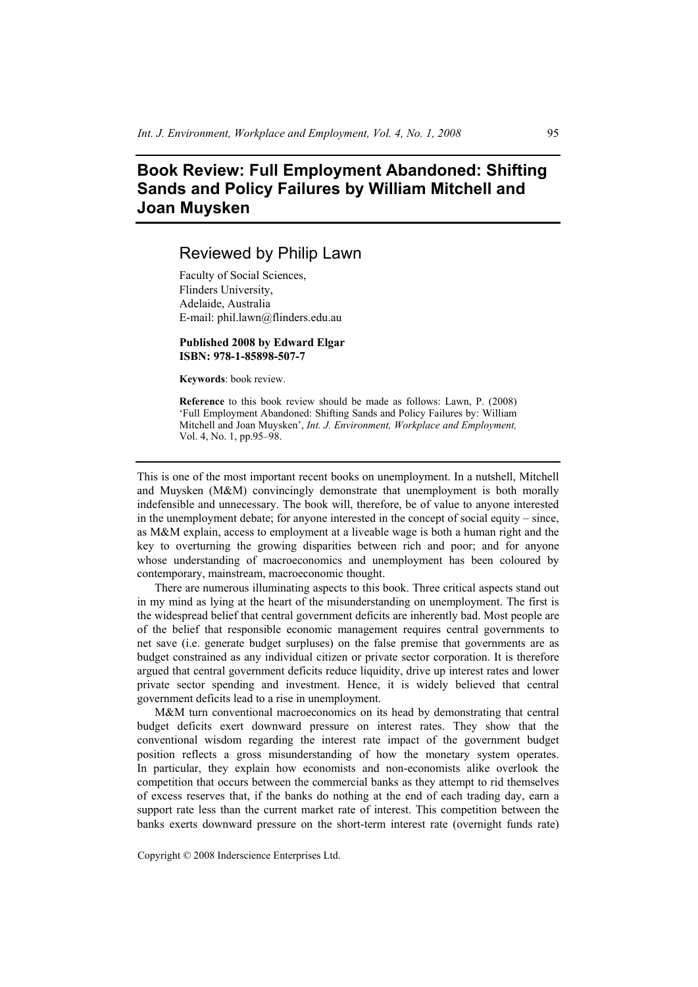# **Book Review: Full Employment Abandoned: Shifting Sands and Policy Failures by William Mitchell and Joan Muysken**

## Reviewed by Philip Lawn

Faculty of Social Sciences, Flinders University, Adelaide, Australia E-mail: phil.lawn@flinders.edu.au

#### **Published 2008 by Edward Elgar ISBN: 978-1-85898-507-7**

**Keywords**: book review.

**Reference** to this book review should be made as follows: Lawn, P. (2008) 'Full Employment Abandoned: Shifting Sands and Policy Failures by: William Mitchell and Joan Muysken', *Int. J. Environment, Workplace and Employment,* Vol. 4, No. 1, pp.95–98.

This is one of the most important recent books on unemployment. In a nutshell, Mitchell and Muysken (M&M) convincingly demonstrate that unemployment is both morally indefensible and unnecessary. The book will, therefore, be of value to anyone interested in the unemployment debate; for anyone interested in the concept of social equity – since, as M&M explain, access to employment at a liveable wage is both a human right and the key to overturning the growing disparities between rich and poor; and for anyone whose understanding of macroeconomics and unemployment has been coloured by contemporary, mainstream, macroeconomic thought.

There are numerous illuminating aspects to this book. Three critical aspects stand out in my mind as lying at the heart of the misunderstanding on unemployment. The first is the widespread belief that central government deficits are inherently bad. Most people are of the belief that responsible economic management requires central governments to net save (i.e. generate budget surpluses) on the false premise that governments are as budget constrained as any individual citizen or private sector corporation. It is therefore argued that central government deficits reduce liquidity, drive up interest rates and lower private sector spending and investment. Hence, it is widely believed that central government deficits lead to a rise in unemployment.

M&M turn conventional macroeconomics on its head by demonstrating that central budget deficits exert downward pressure on interest rates. They show that the conventional wisdom regarding the interest rate impact of the government budget position reflects a gross misunderstanding of how the monetary system operates. In particular, they explain how economists and non-economists alike overlook the competition that occurs between the commercial banks as they attempt to rid themselves of excess reserves that, if the banks do nothing at the end of each trading day, earn a support rate less than the current market rate of interest. This competition between the banks exerts downward pressure on the short-term interest rate (overnight funds rate)

Copyright © 2008 Inderscience Enterprises Ltd.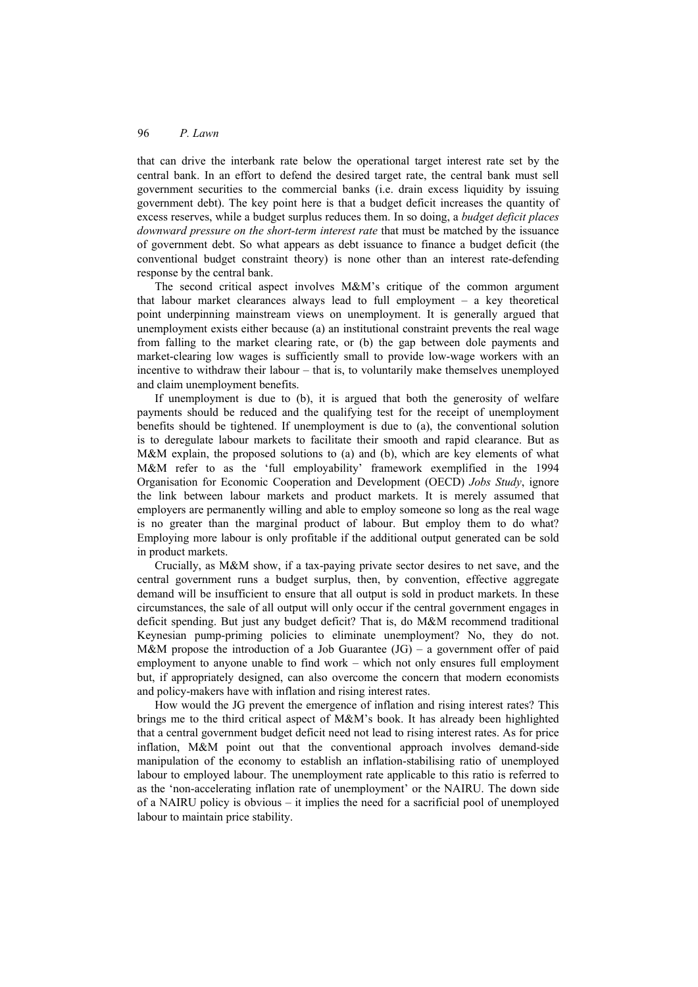#### 96 *P. Lawn*

that can drive the interbank rate below the operational target interest rate set by the central bank. In an effort to defend the desired target rate, the central bank must sell government securities to the commercial banks (i.e. drain excess liquidity by issuing government debt). The key point here is that a budget deficit increases the quantity of excess reserves, while a budget surplus reduces them. In so doing, a *budget deficit places downward pressure on the short-term interest rate* that must be matched by the issuance of government debt. So what appears as debt issuance to finance a budget deficit (the conventional budget constraint theory) is none other than an interest rate-defending response by the central bank.

The second critical aspect involves M&M's critique of the common argument that labour market clearances always lead to full employment – a key theoretical point underpinning mainstream views on unemployment. It is generally argued that unemployment exists either because (a) an institutional constraint prevents the real wage from falling to the market clearing rate, or (b) the gap between dole payments and market-clearing low wages is sufficiently small to provide low-wage workers with an incentive to withdraw their labour – that is, to voluntarily make themselves unemployed and claim unemployment benefits.

If unemployment is due to (b), it is argued that both the generosity of welfare payments should be reduced and the qualifying test for the receipt of unemployment benefits should be tightened. If unemployment is due to (a), the conventional solution is to deregulate labour markets to facilitate their smooth and rapid clearance. But as M&M explain, the proposed solutions to (a) and (b), which are key elements of what M&M refer to as the 'full employability' framework exemplified in the 1994 Organisation for Economic Cooperation and Development (OECD) *Jobs Study*, ignore the link between labour markets and product markets. It is merely assumed that employers are permanently willing and able to employ someone so long as the real wage is no greater than the marginal product of labour. But employ them to do what? Employing more labour is only profitable if the additional output generated can be sold in product markets.

Crucially, as M&M show, if a tax-paying private sector desires to net save, and the central government runs a budget surplus, then, by convention, effective aggregate demand will be insufficient to ensure that all output is sold in product markets. In these circumstances, the sale of all output will only occur if the central government engages in deficit spending. But just any budget deficit? That is, do M&M recommend traditional Keynesian pump-priming policies to eliminate unemployment? No, they do not. M&M propose the introduction of a Job Guarantee  $J =$  a government offer of paid employment to anyone unable to find work – which not only ensures full employment but, if appropriately designed, can also overcome the concern that modern economists and policy-makers have with inflation and rising interest rates.

How would the JG prevent the emergence of inflation and rising interest rates? This brings me to the third critical aspect of M&M's book. It has already been highlighted that a central government budget deficit need not lead to rising interest rates. As for price inflation, M&M point out that the conventional approach involves demand-side manipulation of the economy to establish an inflation-stabilising ratio of unemployed labour to employed labour. The unemployment rate applicable to this ratio is referred to as the 'non-accelerating inflation rate of unemployment' or the NAIRU. The down side of a NAIRU policy is obvious – it implies the need for a sacrificial pool of unemployed labour to maintain price stability.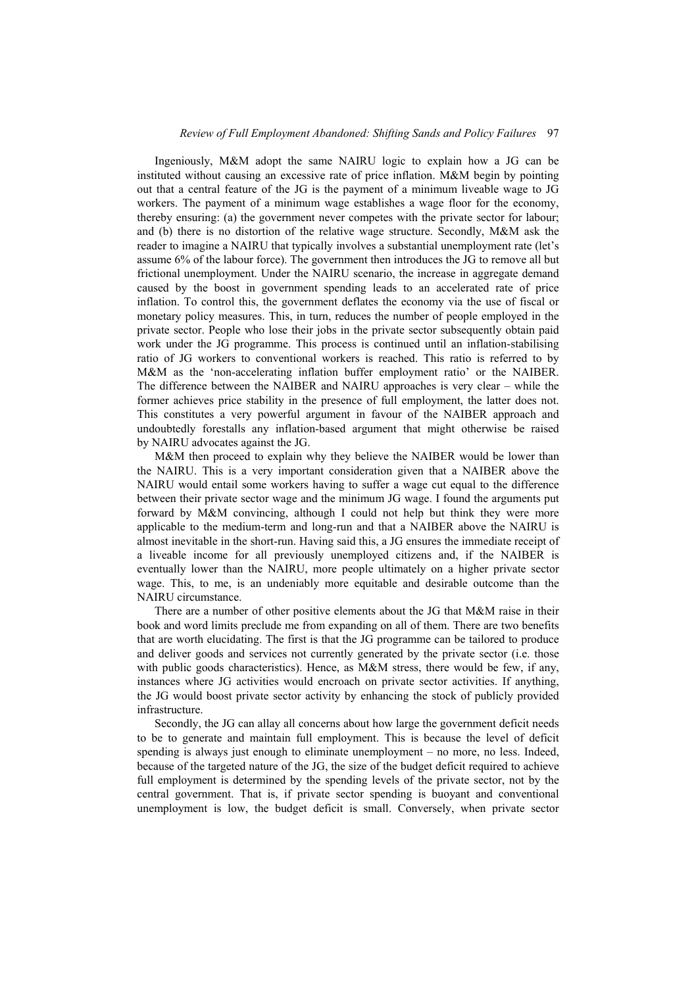Ingeniously, M&M adopt the same NAIRU logic to explain how a JG can be instituted without causing an excessive rate of price inflation. M&M begin by pointing out that a central feature of the JG is the payment of a minimum liveable wage to JG workers. The payment of a minimum wage establishes a wage floor for the economy, thereby ensuring: (a) the government never competes with the private sector for labour; and (b) there is no distortion of the relative wage structure. Secondly, M&M ask the reader to imagine a NAIRU that typically involves a substantial unemployment rate (let's assume 6% of the labour force). The government then introduces the JG to remove all but frictional unemployment. Under the NAIRU scenario, the increase in aggregate demand caused by the boost in government spending leads to an accelerated rate of price inflation. To control this, the government deflates the economy via the use of fiscal or monetary policy measures. This, in turn, reduces the number of people employed in the private sector. People who lose their jobs in the private sector subsequently obtain paid work under the JG programme. This process is continued until an inflation-stabilising ratio of JG workers to conventional workers is reached. This ratio is referred to by M&M as the 'non-accelerating inflation buffer employment ratio' or the NAIBER. The difference between the NAIBER and NAIRU approaches is very clear – while the former achieves price stability in the presence of full employment, the latter does not. This constitutes a very powerful argument in favour of the NAIBER approach and undoubtedly forestalls any inflation-based argument that might otherwise be raised by NAIRU advocates against the JG.

M&M then proceed to explain why they believe the NAIBER would be lower than the NAIRU. This is a very important consideration given that a NAIBER above the NAIRU would entail some workers having to suffer a wage cut equal to the difference between their private sector wage and the minimum JG wage. I found the arguments put forward by M&M convincing, although I could not help but think they were more applicable to the medium-term and long-run and that a NAIBER above the NAIRU is almost inevitable in the short-run. Having said this, a JG ensures the immediate receipt of a liveable income for all previously unemployed citizens and, if the NAIBER is eventually lower than the NAIRU, more people ultimately on a higher private sector wage. This, to me, is an undeniably more equitable and desirable outcome than the NAIRU circumstance.

There are a number of other positive elements about the JG that M&M raise in their book and word limits preclude me from expanding on all of them. There are two benefits that are worth elucidating. The first is that the JG programme can be tailored to produce and deliver goods and services not currently generated by the private sector (i.e. those with public goods characteristics). Hence, as  $M\&M$  stress, there would be few, if any, instances where JG activities would encroach on private sector activities. If anything, the JG would boost private sector activity by enhancing the stock of publicly provided infrastructure.

Secondly, the JG can allay all concerns about how large the government deficit needs to be to generate and maintain full employment. This is because the level of deficit spending is always just enough to eliminate unemployment – no more, no less. Indeed, because of the targeted nature of the JG, the size of the budget deficit required to achieve full employment is determined by the spending levels of the private sector, not by the central government. That is, if private sector spending is buoyant and conventional unemployment is low, the budget deficit is small. Conversely, when private sector